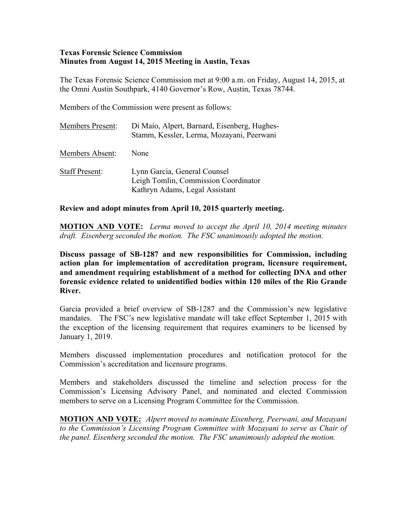## **Texas Forensic Science Commission Minutes from August 14, 2015 Meeting in Austin, Texas**

The Texas Forensic Science Commission met at 9:00 a.m. on Friday, August 14, 2015, at the Omni Austin Southpark, 4140 Governor's Row, Austin, Texas 78744.

Members of the Commission were present as follows:

| <b>Members Present:</b> | Di Maio, Alpert, Barnard, Eisenberg, Hughes-<br>Stamm, Kessler, Lerma, Mozayani, Peerwani              |
|-------------------------|--------------------------------------------------------------------------------------------------------|
| Members Absent:         | None                                                                                                   |
| <b>Staff Present:</b>   | Lynn Garcia, General Counsel<br>Leigh Tomlin, Commission Coordinator<br>Kathryn Adams, Legal Assistant |

## **Review and adopt minutes from April 10, 2015 quarterly meeting.**

**MOTION AND VOTE:** *Lerma moved to accept the April 10, 2014 meeting minutes draft. Eisenberg seconded the motion. The FSC unanimously adopted the motion.*

**Discuss passage of SB-1287 and new responsibilities for Commission, including action plan for implementation of accreditation program, licensure requirement, and amendment requiring establishment of a method for collecting DNA and other forensic evidence related to unidentified bodies within 120 miles of the Rio Grande River.**

Garcia provided a brief overview of SB-1287 and the Commission's new legislative mandates. The FSC's new legislative mandate will take effect September 1, 2015 with the exception of the licensing requirement that requires examiners to be licensed by January 1, 2019.

Members discussed implementation procedures and notification protocol for the Commission's accreditation and licensure programs.

Members and stakeholders discussed the timeline and selection process for the Commission's Licensing Advisory Panel, and nominated and elected Commission members to serve on a Licensing Program Committee for the Commission.

**MOTION AND VOTE:** *Alpert moved to nominate Eisenberg, Peerwani, and Mozayani to the Commission's Licensing Program Committee with Mozayani to serve as Chair of the panel. Eisenberg seconded the motion. The FSC unanimously adopted the motion.*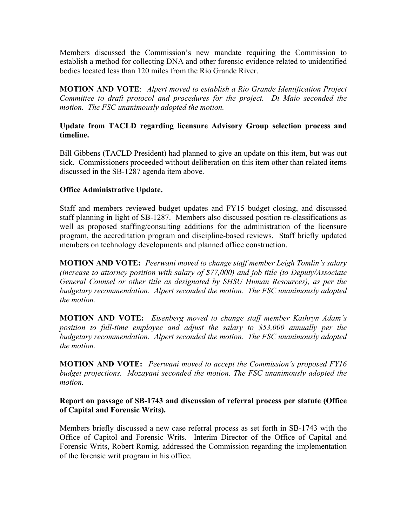Members discussed the Commission's new mandate requiring the Commission to establish a method for collecting DNA and other forensic evidence related to unidentified bodies located less than 120 miles from the Rio Grande River.

**MOTION AND VOTE**: *Alpert moved to establish a Rio Grande Identification Project Committee to draft protocol and procedures for the project. Di Maio seconded the motion. The FSC unanimously adopted the motion.*

## **Update from TACLD regarding licensure Advisory Group selection process and timeline.**

Bill Gibbens (TACLD President) had planned to give an update on this item, but was out sick. Commissioners proceeded without deliberation on this item other than related items discussed in the SB-1287 agenda item above.

## **Office Administrative Update.**

Staff and members reviewed budget updates and FY15 budget closing, and discussed staff planning in light of SB-1287. Members also discussed position re-classifications as well as proposed staffing/consulting additions for the administration of the licensure program, the accreditation program and discipline-based reviews. Staff briefly updated members on technology developments and planned office construction.

**MOTION AND VOTE:** *Peerwani moved to change staff member Leigh Tomlin's salary (increase to attorney position with salary of \$77,000) and job title (to Deputy/Associate General Counsel or other title as designated by SHSU Human Resources), as per the budgetary recommendation. Alpert seconded the motion. The FSC unanimously adopted the motion.*

**MOTION AND VOTE:** *Eisenberg moved to change staff member Kathryn Adam's position to full-time employee and adjust the salary to \$53,000 annually per the budgetary recommendation. Alpert seconded the motion. The FSC unanimously adopted the motion.*

**MOTION AND VOTE:** *Peerwani moved to accept the Commission's proposed FY16 budget projections. Mozayani seconded the motion. The FSC unanimously adopted the motion.*

## **Report on passage of SB-1743 and discussion of referral process per statute (Office of Capital and Forensic Writs).**

Members briefly discussed a new case referral process as set forth in SB-1743 with the Office of Capitol and Forensic Writs. Interim Director of the Office of Capital and Forensic Writs, Robert Romig, addressed the Commission regarding the implementation of the forensic writ program in his office.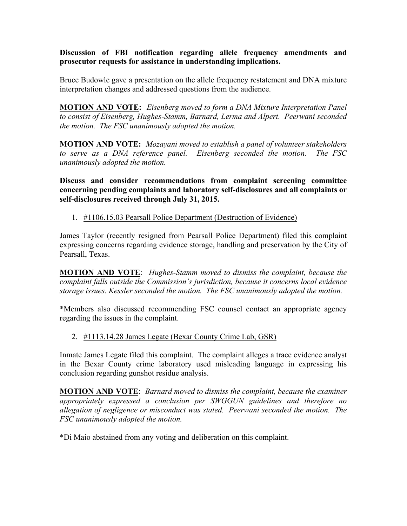**Discussion of FBI notification regarding allele frequency amendments and prosecutor requests for assistance in understanding implications.**

Bruce Budowle gave a presentation on the allele frequency restatement and DNA mixture interpretation changes and addressed questions from the audience.

**MOTION AND VOTE:** *Eisenberg moved to form a DNA Mixture Interpretation Panel to consist of Eisenberg, Hughes-Stamm, Barnard, Lerma and Alpert. Peerwani seconded the motion. The FSC unanimously adopted the motion.*

**MOTION AND VOTE:** *Mozayani moved to establish a panel of volunteer stakeholders to serve as a DNA reference panel. Eisenberg seconded the motion. The FSC unanimously adopted the motion.*

**Discuss and consider recommendations from complaint screening committee concerning pending complaints and laboratory self-disclosures and all complaints or self-disclosures received through July 31, 2015.**

1. #1106.15.03 Pearsall Police Department (Destruction of Evidence)

James Taylor (recently resigned from Pearsall Police Department) filed this complaint expressing concerns regarding evidence storage, handling and preservation by the City of Pearsall, Texas.

**MOTION AND VOTE**: *Hughes-Stamm moved to dismiss the complaint, because the complaint falls outside the Commission's jurisdiction, because it concerns local evidence storage issues. Kessler seconded the motion. The FSC unanimously adopted the motion.*

\*Members also discussed recommending FSC counsel contact an appropriate agency regarding the issues in the complaint.

#### 2. #1113.14.28 James Legate (Bexar County Crime Lab, GSR)

Inmate James Legate filed this complaint. The complaint alleges a trace evidence analyst in the Bexar County crime laboratory used misleading language in expressing his conclusion regarding gunshot residue analysis.

**MOTION AND VOTE**: *Barnard moved to dismiss the complaint, because the examiner appropriately expressed a conclusion per SWGGUN guidelines and therefore no allegation of negligence or misconduct was stated. Peerwani seconded the motion. The FSC unanimously adopted the motion.*

\*Di Maio abstained from any voting and deliberation on this complaint.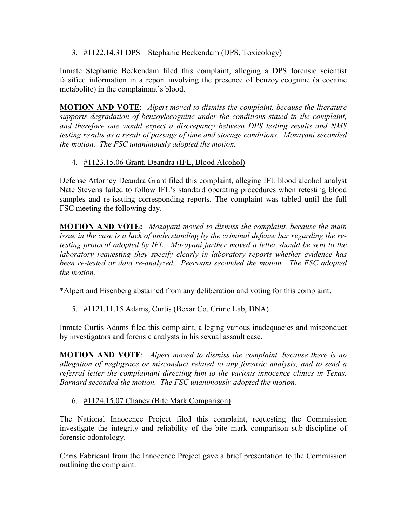3. #1122.14.31 DPS – Stephanie Beckendam (DPS, Toxicology)

Inmate Stephanie Beckendam filed this complaint, alleging a DPS forensic scientist falsified information in a report involving the presence of benzoylecognine (a cocaine metabolite) in the complainant's blood.

**MOTION AND VOTE**: *Alpert moved to dismiss the complaint, because the literature supports degradation of benzoylecognine under the conditions stated in the complaint, and therefore one would expect a discrepancy between DPS testing results and NMS testing results as a result of passage of time and storage conditions. Mozayani seconded the motion. The FSC unanimously adopted the motion.*

# 4. #1123.15.06 Grant, Deandra (IFL, Blood Alcohol)

Defense Attorney Deandra Grant filed this complaint, alleging IFL blood alcohol analyst Nate Stevens failed to follow IFL's standard operating procedures when retesting blood samples and re-issuing corresponding reports. The complaint was tabled until the full FSC meeting the following day.

**MOTION AND VOTE:** *Mozayani moved to dismiss the complaint, because the main issue in the case is a lack of understanding by the criminal defense bar regarding the retesting protocol adopted by IFL. Mozayani further moved a letter should be sent to the laboratory requesting they specify clearly in laboratory reports whether evidence has been re-tested or data re-analyzed. Peerwani seconded the motion. The FSC adopted the motion.*

\*Alpert and Eisenberg abstained from any deliberation and voting for this complaint.

# 5. #1121.11.15 Adams, Curtis (Bexar Co. Crime Lab, DNA)

Inmate Curtis Adams filed this complaint, alleging various inadequacies and misconduct by investigators and forensic analysts in his sexual assault case.

**MOTION AND VOTE**: *Alpert moved to dismiss the complaint, because there is no allegation of negligence or misconduct related to any forensic analysis, and to send a referral letter the complainant directing him to the various innocence clinics in Texas. Barnard seconded the motion. The FSC unanimously adopted the motion.*

## 6. #1124.15.07 Chaney (Bite Mark Comparison)

The National Innocence Project filed this complaint, requesting the Commission investigate the integrity and reliability of the bite mark comparison sub-discipline of forensic odontology.

Chris Fabricant from the Innocence Project gave a brief presentation to the Commission outlining the complaint.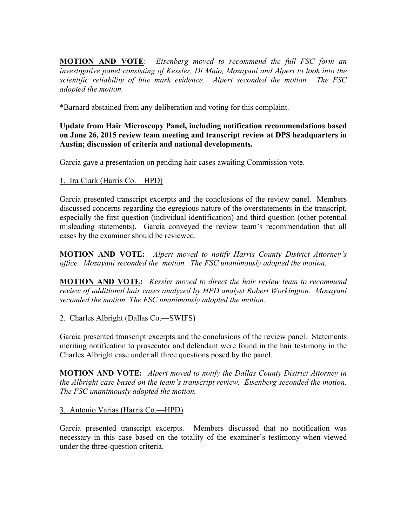**MOTION AND VOTE**: *Eisenberg moved to recommend the full FSC form an investigative panel consisting of Kessler, Di Maio, Mozayani and Alpert to look into the scientific reliability of bite mark evidence. Alpert seconded the motion. The FSC adopted the motion.*

\*Barnard abstained from any deliberation and voting for this complaint.

# **Update from Hair Microscopy Panel, including notification recommendations based on June 26, 2015 review team meeting and transcript review at DPS headquarters in Austin; discussion of criteria and national developments.**

Garcia gave a presentation on pending hair cases awaiting Commission vote.

# 1. Ira Clark (Harris Co.—HPD)

Garcia presented transcript excerpts and the conclusions of the review panel. Members discussed concerns regarding the egregious nature of the overstatements in the transcript, especially the first question (individual identification) and third question (other potential misleading statements). Garcia conveyed the review team's recommendation that all cases by the examiner should be reviewed.

**MOTION AND VOTE:** *Alpert moved to notify Harris County District Attorney's office. Mozayani seconded the motion. The FSC unanimously adopted the motion.*

**MOTION AND VOTE:** *Kessler moved to direct the hair review team to recommend review of additional hair cases analyzed by HPD analyst Robert Workington. Mozayani seconded the motion. The FSC unanimously adopted the motion.*

# 2. Charles Albright (Dallas Co.—SWIFS)

Garcia presented transcript excerpts and the conclusions of the review panel. Statements meriting notification to prosecutor and defendant were found in the hair testimony in the Charles Albright case under all three questions posed by the panel.

**MOTION AND VOTE:** *Alpert moved to notify the Dallas County District Attorney in the Albright case based on the team's transcript review. Eisenberg seconded the motion. The FSC unanimously adopted the motion.*

# 3. Antonio Varias (Harris Co.—HPD)

Garcia presented transcript excerpts. Members discussed that no notification was necessary in this case based on the totality of the examiner's testimony when viewed under the three-question criteria.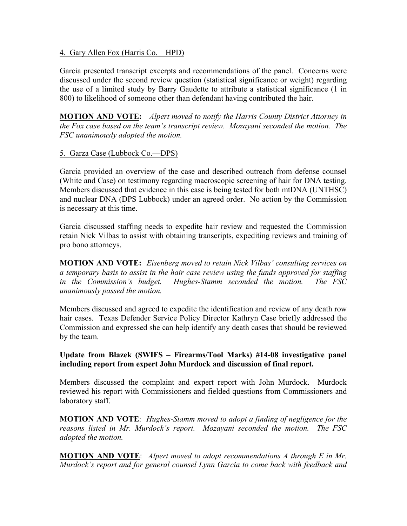#### 4. Gary Allen Fox (Harris Co.—HPD)

Garcia presented transcript excerpts and recommendations of the panel. Concerns were discussed under the second review question (statistical significance or weight) regarding the use of a limited study by Barry Gaudette to attribute a statistical significance (1 in 800) to likelihood of someone other than defendant having contributed the hair.

**MOTION AND VOTE:** *Alpert moved to notify the Harris County District Attorney in the Fox case based on the team's transcript review. Mozayani seconded the motion. The FSC unanimously adopted the motion.*

## 5. Garza Case (Lubbock Co.—DPS)

Garcia provided an overview of the case and described outreach from defense counsel (White and Case) on testimony regarding macroscopic screening of hair for DNA testing. Members discussed that evidence in this case is being tested for both mtDNA (UNTHSC) and nuclear DNA (DPS Lubbock) under an agreed order. No action by the Commission is necessary at this time.

Garcia discussed staffing needs to expedite hair review and requested the Commission retain Nick Vilbas to assist with obtaining transcripts, expediting reviews and training of pro bono attorneys.

**MOTION AND VOTE:** *Eisenberg moved to retain Nick Vilbas' consulting services on a temporary basis to assist in the hair case review using the funds approved for staffing in the Commission's budget. Hughes-Stamm seconded the motion. The FSC unanimously passed the motion.*

Members discussed and agreed to expedite the identification and review of any death row hair cases. Texas Defender Service Policy Director Kathryn Case briefly addressed the Commission and expressed she can help identify any death cases that should be reviewed by the team.

## **Update from Blazek (SWIFS – Firearms/Tool Marks) #14-08 investigative panel including report from expert John Murdock and discussion of final report.**

Members discussed the complaint and expert report with John Murdock. Murdock reviewed his report with Commissioners and fielded questions from Commissioners and laboratory staff.

**MOTION AND VOTE**: *Hughes-Stamm moved to adopt a finding of negligence for the reasons listed in Mr. Murdock's report. Mozayani seconded the motion. The FSC adopted the motion.* 

**MOTION AND VOTE**: *Alpert moved to adopt recommendations A through E in Mr. Murdock's report and for general counsel Lynn Garcia to come back with feedback and*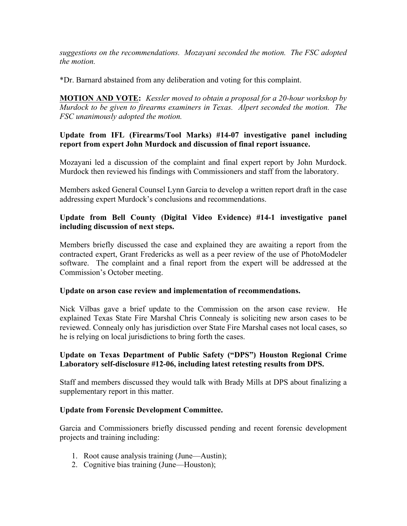*suggestions on the recommendations. Mozayani seconded the motion. The FSC adopted the motion.* 

\*Dr. Barnard abstained from any deliberation and voting for this complaint.

**MOTION AND VOTE:** *Kessler moved to obtain a proposal for a 20-hour workshop by Murdock to be given to firearms examiners in Texas. Alpert seconded the motion. The FSC unanimously adopted the motion.*

# **Update from IFL (Firearms/Tool Marks) #14-07 investigative panel including report from expert John Murdock and discussion of final report issuance.**

Mozayani led a discussion of the complaint and final expert report by John Murdock. Murdock then reviewed his findings with Commissioners and staff from the laboratory.

Members asked General Counsel Lynn Garcia to develop a written report draft in the case addressing expert Murdock's conclusions and recommendations.

## **Update from Bell County (Digital Video Evidence) #14-1 investigative panel including discussion of next steps.**

Members briefly discussed the case and explained they are awaiting a report from the contracted expert, Grant Fredericks as well as a peer review of the use of PhotoModeler software. The complaint and a final report from the expert will be addressed at the Commission's October meeting.

## **Update on arson case review and implementation of recommendations.**

Nick Vilbas gave a brief update to the Commission on the arson case review. He explained Texas State Fire Marshal Chris Connealy is soliciting new arson cases to be reviewed. Connealy only has jurisdiction over State Fire Marshal cases not local cases, so he is relying on local jurisdictions to bring forth the cases.

## **Update on Texas Department of Public Safety ("DPS") Houston Regional Crime Laboratory self-disclosure #12-06, including latest retesting results from DPS.**

Staff and members discussed they would talk with Brady Mills at DPS about finalizing a supplementary report in this matter.

## **Update from Forensic Development Committee.**

Garcia and Commissioners briefly discussed pending and recent forensic development projects and training including:

- 1. Root cause analysis training (June—Austin);
- 2. Cognitive bias training (June—Houston);